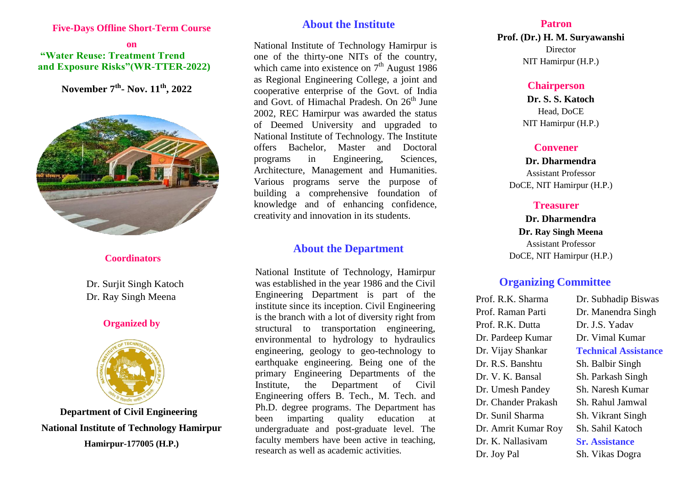#### **Five-Days Offline Short-Term Course**

### **on "Water Reuse: Treatment Trend and Exposure Risks"(WR-TTER-2022)**

 **November 7 th - Nov. 11 th, 2022**



#### **Coordinators**

 Dr. Surjit Singh Katoch Dr. Ray Singh Meena

## **Organized by**



**Department of Civil Engineering National Institute of Technology Hamirpur Hamirpur-177005 (H.P.)**

# **About the Institute**

National Institute of Technology Hamirpur is one of the thirty-one NITs of the country, which came into existence on  $7<sup>th</sup>$  August 1986 as Regional Engineering College, a joint and cooperative enterprise of the Govt. of India and Govt. of Himachal Pradesh. On 26<sup>th</sup> June 2002, REC Hamirpur was awarded the status of Deemed University and upgraded to National Institute of Technology. The Institute offers Bachelor, Master and Doctoral programs in Engineering, Sciences, Architecture, Management and Humanities. Various programs serve the purpose of building a comprehensive foundation of knowledge and of enhancing confidence, creativity and innovation in its students.

## **About the Department**

National Institute of Technology, Hamirpur was established in the year 1986 and the Civil Engineering Department is part of the institute since its inception. Civil Engineering is the branch with a lot of diversity right from structural to transportation engineering, environmental to hydrology to hydraulics engineering, geology to geo-technology to earthquake engineering. Being one of the primary Engineering Departments of the Institute, the Department of Civil Engineering offers B. Tech., M. Tech. and Ph.D. degree programs. The Department has been imparting quality education at undergraduate and post-graduate level. The faculty members have been active in teaching, research as well as academic activities.

#### **Patron**

**Prof. (Dr.) H. M. Suryawanshi** Director NIT Hamirpur (H.P.)

#### **Chairperson**

**Dr. S. S. Katoch** Head, DoCE NIT Hamirpur (H.P.)

## **Convener**

**Dr. Dharmendra** Assistant Professor DoCE, NIT Hamirpur (H.P.)

### **Treasurer**

**Dr. Dharmendra Dr. Ray Singh Meena** Assistant Professor DoCE, NIT Hamirpur (H.P.)

## **Organizing Committee**

Prof. R.K. Sharma Prof. Raman Parti Prof. R.K. Dutta Dr. Pardeep Kumar Dr. Vijay Shankar Dr. R.S. Banshtu Dr. V. K. Bansal Dr. Umesh Pandey Dr. Chander Prakash Dr. Sunil Sharma Dr. Amrit Kumar Roy Dr. K. Nallasivam Dr. Joy Pal

Dr. Subhadip Biswas Dr. Manendra Singh Dr. J.S. Yadav Dr. Vimal Kumar **Technical Assistance** Sh. Balbir Singh Sh. Parkash Singh Sh. Naresh Kumar Sh. Rahul Jamwal Sh. Vikrant Singh Sh. Sahil Katoch **Sr. Assistance** Sh. Vikas Dogra